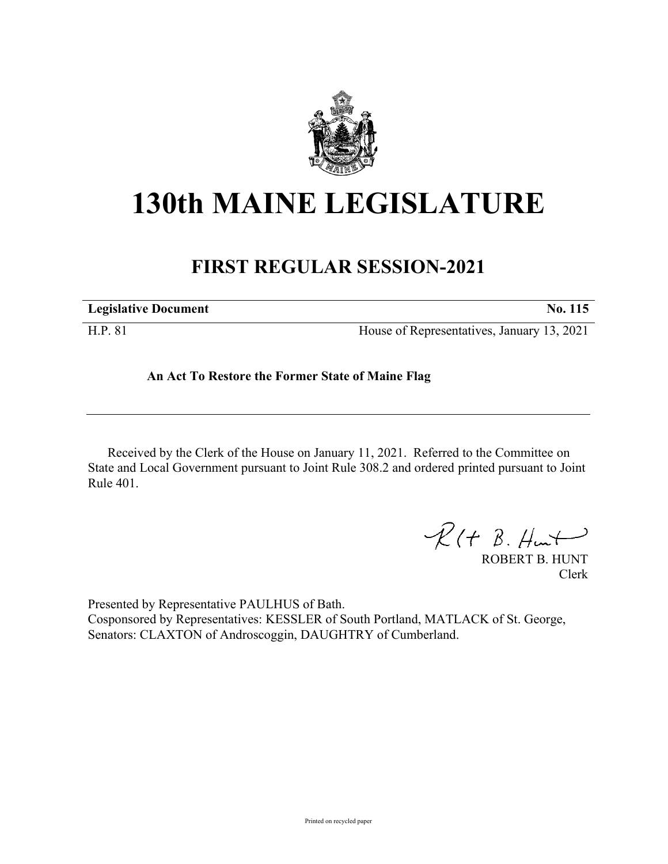

## **130th MAINE LEGISLATURE**

## **FIRST REGULAR SESSION-2021**

| <b>Legislative Document</b> | No. 115                                    |
|-----------------------------|--------------------------------------------|
| H.P. 81                     | House of Representatives, January 13, 2021 |

## **An Act To Restore the Former State of Maine Flag**

Received by the Clerk of the House on January 11, 2021. Referred to the Committee on State and Local Government pursuant to Joint Rule 308.2 and ordered printed pursuant to Joint Rule 401.

 $R(t B. Hmt)$ 

ROBERT B. HUNT Clerk

Presented by Representative PAULHUS of Bath. Cosponsored by Representatives: KESSLER of South Portland, MATLACK of St. George, Senators: CLAXTON of Androscoggin, DAUGHTRY of Cumberland.